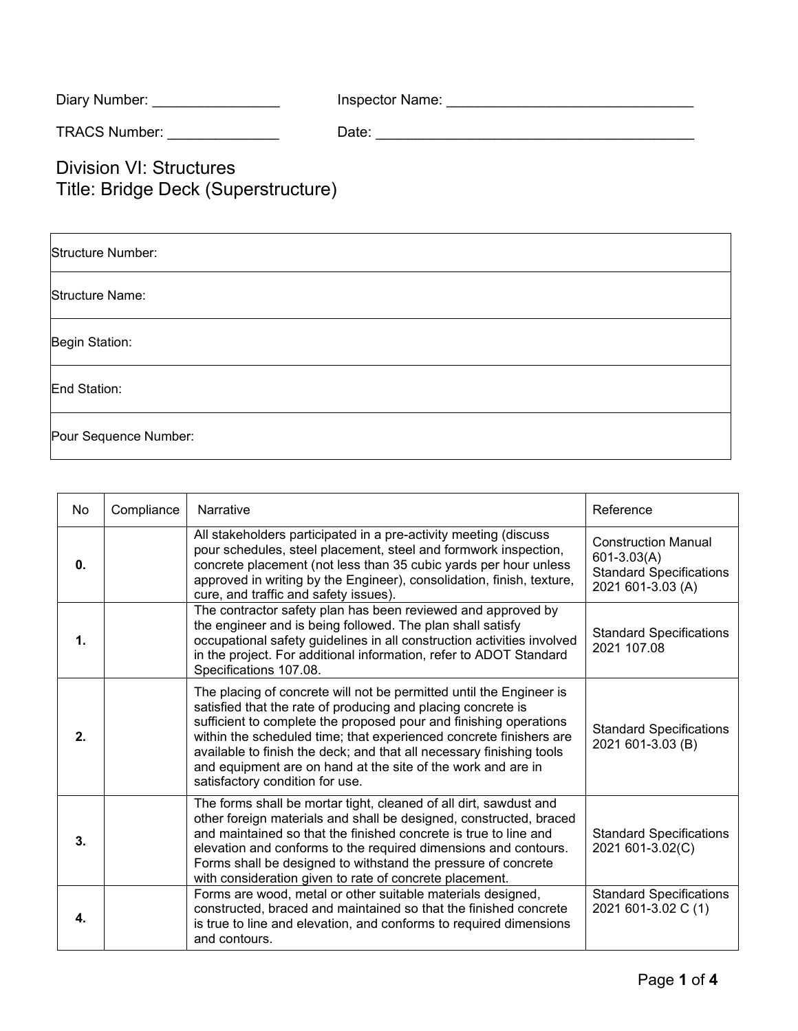| Diary Number: | Inspector Name: |
|---------------|-----------------|
|---------------|-----------------|

TRACS Number: \_\_\_\_\_\_\_\_\_\_\_\_\_\_ Date: \_\_\_\_\_\_\_\_\_\_\_\_\_\_\_\_\_\_\_\_\_\_\_\_\_\_\_\_\_\_\_\_\_\_\_\_\_\_\_\_

Division VI: Structures Title: Bridge Deck (Superstructure)

| Structure Number:      |  |
|------------------------|--|
| <b>Structure Name:</b> |  |
| Begin Station:         |  |
| End Station:           |  |
| Pour Sequence Number:  |  |

| <b>No</b> | Compliance | Narrative                                                                                                                                                                                                                                                                                                                                                                                                                                                 | Reference                                                                                        |
|-----------|------------|-----------------------------------------------------------------------------------------------------------------------------------------------------------------------------------------------------------------------------------------------------------------------------------------------------------------------------------------------------------------------------------------------------------------------------------------------------------|--------------------------------------------------------------------------------------------------|
| 0.        |            | All stakeholders participated in a pre-activity meeting (discuss<br>pour schedules, steel placement, steel and formwork inspection,<br>concrete placement (not less than 35 cubic yards per hour unless<br>approved in writing by the Engineer), consolidation, finish, texture,<br>cure, and traffic and safety issues).                                                                                                                                 | <b>Construction Manual</b><br>601-3.03(A)<br><b>Standard Specifications</b><br>2021 601-3.03 (A) |
| 1.        |            | The contractor safety plan has been reviewed and approved by<br>the engineer and is being followed. The plan shall satisfy<br>occupational safety guidelines in all construction activities involved<br>in the project. For additional information, refer to ADOT Standard<br>Specifications 107.08.                                                                                                                                                      | <b>Standard Specifications</b><br>2021 107.08                                                    |
| 2.        |            | The placing of concrete will not be permitted until the Engineer is<br>satisfied that the rate of producing and placing concrete is<br>sufficient to complete the proposed pour and finishing operations<br>within the scheduled time; that experienced concrete finishers are<br>available to finish the deck; and that all necessary finishing tools<br>and equipment are on hand at the site of the work and are in<br>satisfactory condition for use. | <b>Standard Specifications</b><br>2021 601-3.03 (B)                                              |
| 3.        |            | The forms shall be mortar tight, cleaned of all dirt, sawdust and<br>other foreign materials and shall be designed, constructed, braced<br>and maintained so that the finished concrete is true to line and<br>elevation and conforms to the required dimensions and contours.<br>Forms shall be designed to withstand the pressure of concrete<br>with consideration given to rate of concrete placement.                                                | <b>Standard Specifications</b><br>2021 601-3.02(C)                                               |
| 4.        |            | Forms are wood, metal or other suitable materials designed,<br>constructed, braced and maintained so that the finished concrete<br>is true to line and elevation, and conforms to required dimensions<br>and contours.                                                                                                                                                                                                                                    | <b>Standard Specifications</b><br>2021 601-3.02 C (1)                                            |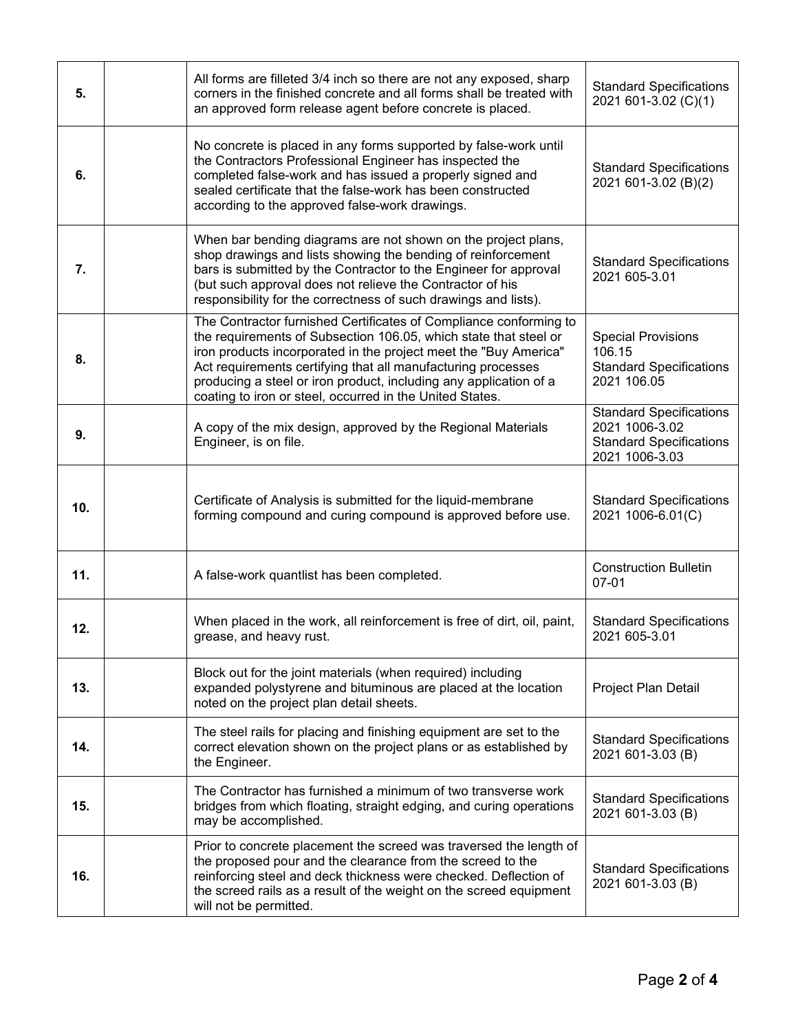| 5.  | All forms are filleted 3/4 inch so there are not any exposed, sharp<br>corners in the finished concrete and all forms shall be treated with<br>an approved form release agent before concrete is placed.                                                                                                                                                                                                   | <b>Standard Specifications</b><br>2021 601-3.02 (C)(1)                                               |
|-----|------------------------------------------------------------------------------------------------------------------------------------------------------------------------------------------------------------------------------------------------------------------------------------------------------------------------------------------------------------------------------------------------------------|------------------------------------------------------------------------------------------------------|
| 6.  | No concrete is placed in any forms supported by false-work until<br>the Contractors Professional Engineer has inspected the<br>completed false-work and has issued a properly signed and<br>sealed certificate that the false-work has been constructed<br>according to the approved false-work drawings.                                                                                                  | <b>Standard Specifications</b><br>2021 601-3.02 (B)(2)                                               |
| 7.  | When bar bending diagrams are not shown on the project plans,<br>shop drawings and lists showing the bending of reinforcement<br>bars is submitted by the Contractor to the Engineer for approval<br>(but such approval does not relieve the Contractor of his<br>responsibility for the correctness of such drawings and lists).                                                                          | <b>Standard Specifications</b><br>2021 605-3.01                                                      |
| 8.  | The Contractor furnished Certificates of Compliance conforming to<br>the requirements of Subsection 106.05, which state that steel or<br>iron products incorporated in the project meet the "Buy America"<br>Act requirements certifying that all manufacturing processes<br>producing a steel or iron product, including any application of a<br>coating to iron or steel, occurred in the United States. | <b>Special Provisions</b><br>106.15<br><b>Standard Specifications</b><br>2021 106.05                 |
| 9.  | A copy of the mix design, approved by the Regional Materials<br>Engineer, is on file.                                                                                                                                                                                                                                                                                                                      | <b>Standard Specifications</b><br>2021 1006-3.02<br><b>Standard Specifications</b><br>2021 1006-3.03 |
| 10. | Certificate of Analysis is submitted for the liquid-membrane<br>forming compound and curing compound is approved before use.                                                                                                                                                                                                                                                                               | <b>Standard Specifications</b><br>2021 1006-6.01(C)                                                  |
| 11. | A false-work quantlist has been completed.                                                                                                                                                                                                                                                                                                                                                                 | <b>Construction Bulletin</b><br>$07 - 01$                                                            |
| 12. | When placed in the work, all reinforcement is free of dirt, oil, paint,<br>grease, and heavy rust.                                                                                                                                                                                                                                                                                                         | <b>Standard Specifications</b><br>2021 605-3.01                                                      |
| 13. | Block out for the joint materials (when required) including<br>expanded polystyrene and bituminous are placed at the location<br>noted on the project plan detail sheets.                                                                                                                                                                                                                                  | Project Plan Detail                                                                                  |
| 14. | The steel rails for placing and finishing equipment are set to the<br>correct elevation shown on the project plans or as established by<br>the Engineer.                                                                                                                                                                                                                                                   | <b>Standard Specifications</b><br>2021 601-3.03 (B)                                                  |
| 15. | The Contractor has furnished a minimum of two transverse work<br>bridges from which floating, straight edging, and curing operations<br>may be accomplished.                                                                                                                                                                                                                                               | <b>Standard Specifications</b><br>2021 601-3.03 (B)                                                  |
| 16. | Prior to concrete placement the screed was traversed the length of<br>the proposed pour and the clearance from the screed to the<br>reinforcing steel and deck thickness were checked. Deflection of<br>the screed rails as a result of the weight on the screed equipment<br>will not be permitted.                                                                                                       | <b>Standard Specifications</b><br>2021 601-3.03 (B)                                                  |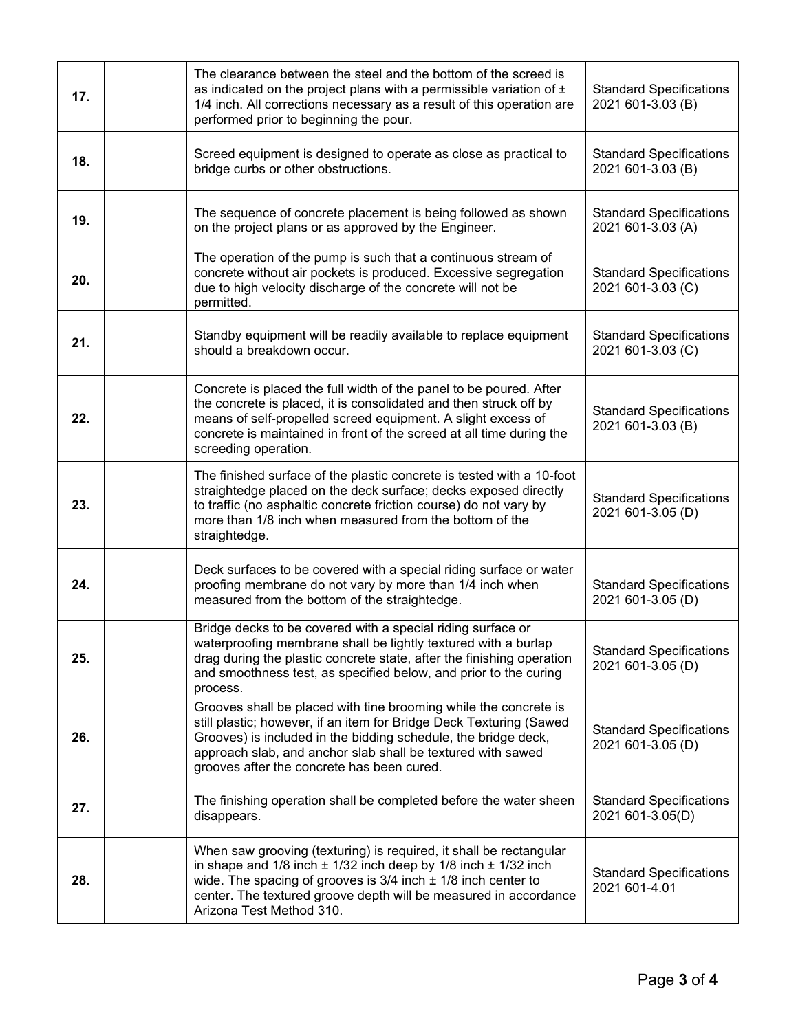| 17. | The clearance between the steel and the bottom of the screed is<br>as indicated on the project plans with a permissible variation of $\pm$<br>1/4 inch. All corrections necessary as a result of this operation are<br>performed prior to beginning the pour.                                                          | <b>Standard Specifications</b><br>2021 601-3.03 (B) |
|-----|------------------------------------------------------------------------------------------------------------------------------------------------------------------------------------------------------------------------------------------------------------------------------------------------------------------------|-----------------------------------------------------|
| 18. | Screed equipment is designed to operate as close as practical to<br>bridge curbs or other obstructions.                                                                                                                                                                                                                | <b>Standard Specifications</b><br>2021 601-3.03 (B) |
| 19. | The sequence of concrete placement is being followed as shown<br>on the project plans or as approved by the Engineer.                                                                                                                                                                                                  | <b>Standard Specifications</b><br>2021 601-3.03 (A) |
| 20. | The operation of the pump is such that a continuous stream of<br>concrete without air pockets is produced. Excessive segregation<br>due to high velocity discharge of the concrete will not be<br>permitted.                                                                                                           | <b>Standard Specifications</b><br>2021 601-3.03 (C) |
| 21. | Standby equipment will be readily available to replace equipment<br>should a breakdown occur.                                                                                                                                                                                                                          | <b>Standard Specifications</b><br>2021 601-3.03 (C) |
| 22. | Concrete is placed the full width of the panel to be poured. After<br>the concrete is placed, it is consolidated and then struck off by<br>means of self-propelled screed equipment. A slight excess of<br>concrete is maintained in front of the screed at all time during the<br>screeding operation.                | <b>Standard Specifications</b><br>2021 601-3.03 (B) |
| 23. | The finished surface of the plastic concrete is tested with a 10-foot<br>straightedge placed on the deck surface; decks exposed directly<br>to traffic (no asphaltic concrete friction course) do not vary by<br>more than 1/8 inch when measured from the bottom of the<br>straightedge.                              | <b>Standard Specifications</b><br>2021 601-3.05 (D) |
| 24. | Deck surfaces to be covered with a special riding surface or water<br>proofing membrane do not vary by more than 1/4 inch when<br>measured from the bottom of the straightedge.                                                                                                                                        | <b>Standard Specifications</b><br>2021 601-3.05 (D) |
| 25. | Bridge decks to be covered with a special riding surface or<br>waterproofing membrane shall be lightly textured with a burlap<br>drag during the plastic concrete state, after the finishing operation<br>and smoothness test, as specified below, and prior to the curing<br>process.                                 | <b>Standard Specifications</b><br>2021 601-3.05 (D) |
| 26. | Grooves shall be placed with tine brooming while the concrete is<br>still plastic; however, if an item for Bridge Deck Texturing (Sawed<br>Grooves) is included in the bidding schedule, the bridge deck,<br>approach slab, and anchor slab shall be textured with sawed<br>grooves after the concrete has been cured. | <b>Standard Specifications</b><br>2021 601-3.05 (D) |
| 27. | The finishing operation shall be completed before the water sheen<br>disappears.                                                                                                                                                                                                                                       | <b>Standard Specifications</b><br>2021 601-3.05(D)  |
| 28. | When saw grooving (texturing) is required, it shall be rectangular<br>in shape and $1/8$ inch $\pm$ 1/32 inch deep by 1/8 inch $\pm$ 1/32 inch<br>wide. The spacing of grooves is $3/4$ inch $\pm$ 1/8 inch center to<br>center. The textured groove depth will be measured in accordance<br>Arizona Test Method 310.  | <b>Standard Specifications</b><br>2021 601-4.01     |